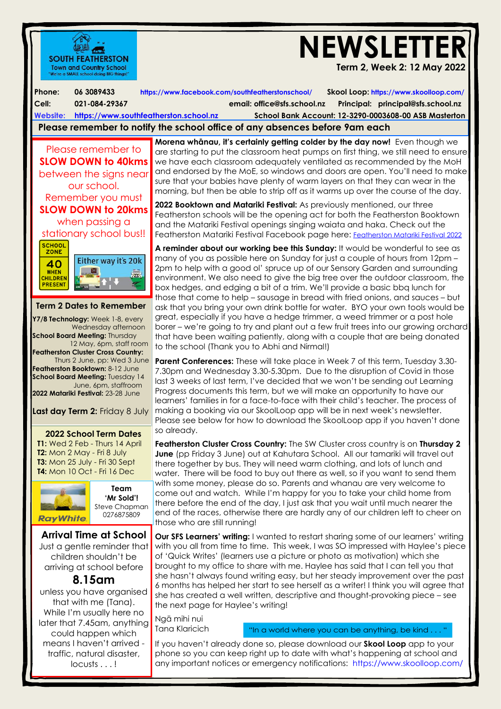

Tana Klaricich

could happen which means I haven't arrived traffic, natural disaster, locusts . . .!

"In a world where you can be anything, be kind . . . "

 phone so you can keep right up to date with what's happening at school and If you haven't already done so, please download our **Skool Loop** app to your any important notices or emergency notifications: <https://www.skoolloop.com/>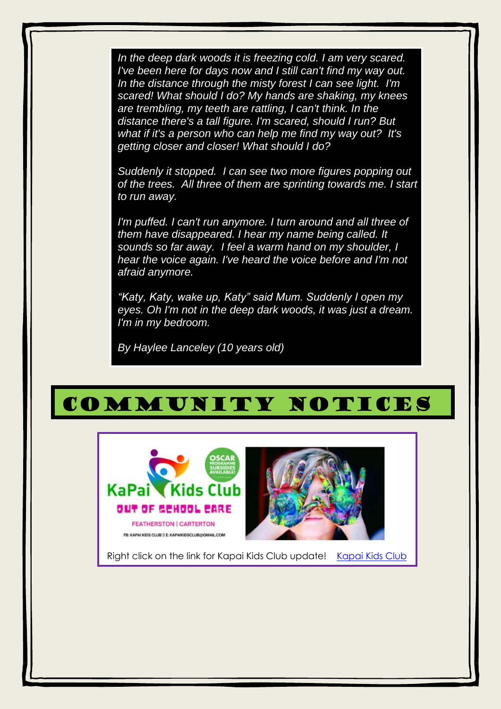*In the deep dark woods it is freezing cold. I am very scared. I've been here for days now and I still can't find my way out. In the distance through the misty forest I can see light. I'm scared! What should I do? My hands are shaking, my knees are trembling, my teeth are rattling, I can't think. In the distance there's a tall figure. I'm scared, should I run? But what if it's a person who can help me find my way out? It's getting closer and closer! What should I do?*

*Suddenly it stopped. I can see two more figures popping out of the trees. All three of them are sprinting towards me. I start to run away.* 

*I'm puffed. I can't run anymore. I turn around and all three of them have disappeared. I hear my name being called. It sounds so far away. I feel a warm hand on my shoulder, I hear the voice again. I've heard the voice before and I'm not afraid anymore.*

*"Katy, Katy, wake up, Katy" said Mum. Suddenly I open my eyes. Oh I'm not in the deep dark woods, it was just a dream. I'm in my bedroom.*

*By Haylee Lanceley (10 years old)*

[2022](https://mailchi.mp/f0d2d7b0273b/kapai-kids-club-2022?fbclid=IwAR1AbziIvOO6G0m9gm0t7rTNCkv7c5Kguw0bGbw9YRwKHpLQNekxa6VpIus)

## COMMUNITY NOTICES open my eyes. Oh I'm not in the deep dark woods, 1 M UN LT Y N O T



Right click on the link for Kapai Kids Club update! [Kapai Kids Club](https://mailchi.mp/f0d2d7b0273b/kapai-kids-club-2022?fbclid=IwAR1AbziIvOO6G0m9gm0t7rTNCkv7c5Kguw0bGbw9YRwKHpLQNekxa6VpIus)